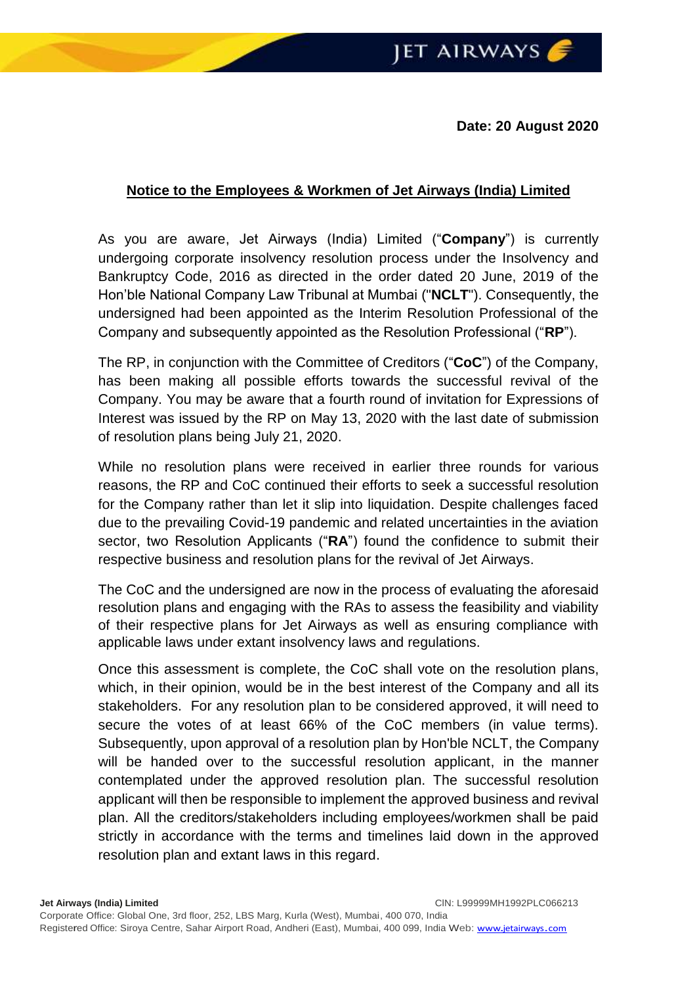**Date: 20 August 2020**

## **Notice to the Employees & Workmen of Jet Airways (India) Limited**

As you are aware, Jet Airways (India) Limited ("**Company**") is currently undergoing corporate insolvency resolution process under the Insolvency and Bankruptcy Code, 2016 as directed in the order dated 20 June, 2019 of the Hon'ble National Company Law Tribunal at Mumbai ("**NCLT**"). Consequently, the undersigned had been appointed as the Interim Resolution Professional of the Company and subsequently appointed as the Resolution Professional ("**RP**").

The RP, in conjunction with the Committee of Creditors ("**CoC**") of the Company, has been making all possible efforts towards the successful revival of the Company. You may be aware that a fourth round of invitation for Expressions of Interest was issued by the RP on May 13, 2020 with the last date of submission of resolution plans being July 21, 2020.

While no resolution plans were received in earlier three rounds for various reasons, the RP and CoC continued their efforts to seek a successful resolution for the Company rather than let it slip into liquidation. Despite challenges faced due to the prevailing Covid-19 pandemic and related uncertainties in the aviation sector, two Resolution Applicants ("**RA**") found the confidence to submit their respective business and resolution plans for the revival of Jet Airways.

The CoC and the undersigned are now in the process of evaluating the aforesaid resolution plans and engaging with the RAs to assess the feasibility and viability of their respective plans for Jet Airways as well as ensuring compliance with applicable laws under extant insolvency laws and regulations.

Once this assessment is complete, the CoC shall vote on the resolution plans, which, in their opinion, would be in the best interest of the Company and all its stakeholders. For any resolution plan to be considered approved, it will need to secure the votes of at least 66% of the CoC members (in value terms). Subsequently, upon approval of a resolution plan by Hon'ble NCLT, the Company will be handed over to the successful resolution applicant, in the manner contemplated under the approved resolution plan. The successful resolution applicant will then be responsible to implement the approved business and revival plan. All the creditors/stakeholders including employees/workmen shall be paid strictly in accordance with the terms and timelines laid down in the approved resolution plan and extant laws in this regard.